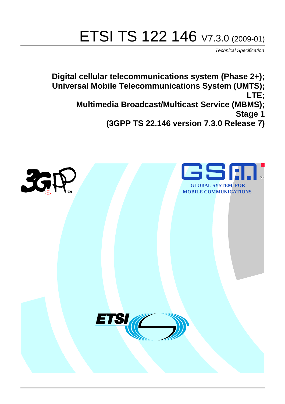# ETSI TS 122 146 V7.3.0 (2009-01)

*Technical Specification*

**Digital cellular telecommunications system (Phase 2+); Universal Mobile Telecommunications System (UMTS); LTE; Multimedia Broadcast/Multicast Service (MBMS); Stage 1** 

**(3GPP TS 22.146 version 7.3.0 Release 7)**

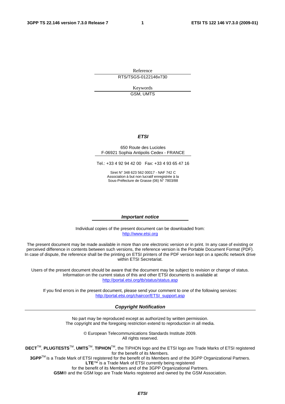Reference RTS/TSGS-0122146v730

> Keywords GSM, UMTS

#### *ETSI*

#### 650 Route des Lucioles F-06921 Sophia Antipolis Cedex - FRANCE

Tel.: +33 4 92 94 42 00 Fax: +33 4 93 65 47 16

Siret N° 348 623 562 00017 - NAF 742 C Association à but non lucratif enregistrée à la Sous-Préfecture de Grasse (06) N° 7803/88

#### *Important notice*

Individual copies of the present document can be downloaded from: [http://www.etsi.org](http://www.etsi.org/)

The present document may be made available in more than one electronic version or in print. In any case of existing or perceived difference in contents between such versions, the reference version is the Portable Document Format (PDF). In case of dispute, the reference shall be the printing on ETSI printers of the PDF version kept on a specific network drive within ETSI Secretariat.

Users of the present document should be aware that the document may be subject to revision or change of status. Information on the current status of this and other ETSI documents is available at <http://portal.etsi.org/tb/status/status.asp>

If you find errors in the present document, please send your comment to one of the following services: [http://portal.etsi.org/chaircor/ETSI\\_support.asp](http://portal.etsi.org/chaircor/ETSI_support.asp)

#### *Copyright Notification*

No part may be reproduced except as authorized by written permission. The copyright and the foregoing restriction extend to reproduction in all media.

> © European Telecommunications Standards Institute 2009. All rights reserved.

**DECT**TM, **PLUGTESTS**TM, **UMTS**TM, **TIPHON**TM, the TIPHON logo and the ETSI logo are Trade Marks of ETSI registered for the benefit of its Members.

**3GPP**TM is a Trade Mark of ETSI registered for the benefit of its Members and of the 3GPP Organizational Partners. **LTE**™ is a Trade Mark of ETSI currently being registered

for the benefit of its Members and of the 3GPP Organizational Partners.

**GSM**® and the GSM logo are Trade Marks registered and owned by the GSM Association.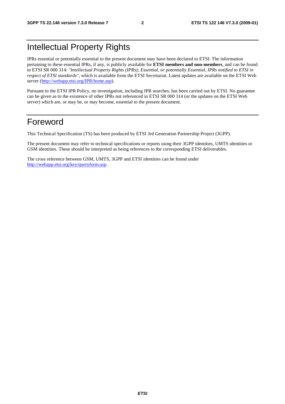## Intellectual Property Rights

IPRs essential or potentially essential to the present document may have been declared to ETSI. The information pertaining to these essential IPRs, if any, is publicly available for **ETSI members and non-members**, and can be found in ETSI SR 000 314: *"Intellectual Property Rights (IPRs); Essential, or potentially Essential, IPRs notified to ETSI in respect of ETSI standards"*, which is available from the ETSI Secretariat. Latest updates are available on the ETSI Web server ([http://webapp.etsi.org/IPR/home.asp\)](http://webapp.etsi.org/IPR/home.asp).

Pursuant to the ETSI IPR Policy, no investigation, including IPR searches, has been carried out by ETSI. No guarantee can be given as to the existence of other IPRs not referenced in ETSI SR 000 314 (or the updates on the ETSI Web server) which are, or may be, or may become, essential to the present document.

### Foreword

This Technical Specification (TS) has been produced by ETSI 3rd Generation Partnership Project (3GPP).

The present document may refer to technical specifications or reports using their 3GPP identities, UMTS identities or GSM identities. These should be interpreted as being references to the corresponding ETSI deliverables.

The cross reference between GSM, UMTS, 3GPP and ETSI identities can be found under [http://webapp.etsi.org/key/queryform.asp.](http://webapp.etsi.org/key/queryform.asp)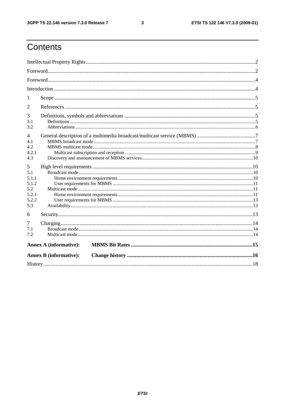#### $\mathbf{3}$

## Contents

| 1                                                          |                               |  |
|------------------------------------------------------------|-------------------------------|--|
| 2                                                          |                               |  |
| 3<br>3.1<br>3.2                                            |                               |  |
| $\overline{4}$<br>4.1<br>4.2<br>4.2.1<br>4.3               |                               |  |
| 5<br>5.1<br>5.1.1<br>5.1.2<br>5.2<br>5.2.1<br>5.2.2<br>5.3 |                               |  |
| 6                                                          |                               |  |
| 7<br>7.1<br>7.2                                            |                               |  |
|                                                            | <b>Annex A (informative):</b> |  |
|                                                            | <b>Annex B (informative):</b> |  |
|                                                            |                               |  |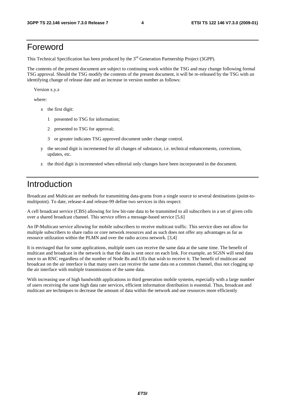#### Foreword

This Technical Specification has been produced by the  $3<sup>rd</sup>$  Generation Partnership Project (3GPP).

The contents of the present document are subject to continuing work within the TSG and may change following formal TSG approval. Should the TSG modify the contents of the present document, it will be re-released by the TSG with an identifying change of release date and an increase in version number as follows:

Version x.y.z

where:

- x the first digit:
	- 1 presented to TSG for information;
	- 2 presented to TSG for approval;
	- 3 or greater indicates TSG approved document under change control.
- y the second digit is incremented for all changes of substance, i.e. technical enhancements, corrections, updates, etc.
- z the third digit is incremented when editorial only changes have been incorporated in the document.

## Introduction

Broadcast and Multicast are methods for transmitting data-grams from a single source to several destinations (point-tomultipoint). To date, release-4 and release-99 define two services in this respect:

A cell broadcast service (CBS) allowing for low bit-rate data to be transmitted to all subscribers in a set of given cells over a shared broadcast channel. This service offers a message-based service [5,6]

An IP-Multicast service allowing for mobile subscribers to receive multicast traffic. This service does not allow for multiple subscribers to share radio or core network resources and as such does not offer any advantages as far as resource utilization within the PLMN and over the radio access network. [3,4]

It is envisaged that for some applications, multiple users can receive the same data at the same time. The benefit of multicast and broadcast in the network is that the data is sent once on each link. For example, an SGSN will send data once to an RNC regardless of the number of Node Bs and UEs that wish to receive it. The benefit of multicast and broadcast on the air interface is that many users can receive the same data on a common channel, thus not clogging up the air interface with multiple transmissions of the same data.

With increasing use of high bandwidth applications in third generation mobile systems, especially with a large number of users receiving the same high data rate services, efficient information distribution is essential. Thus, broadcast and multicast are techniques to decrease the amount of data within the network and use resources more efficiently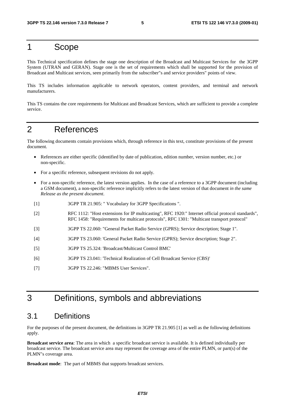### 1 Scope

This Technical specification defines the stage one description of the Broadcast and Multicast Services for the 3GPP System (UTRAN and GERAN). Stage one is the set of requirements which shall be supported for the provision of Broadcast and Multicast services, seen primarily from the subscriber"s and service providers" points of view.

This TS includes information applicable to network operators, content providers, and terminal and network manufacturers.

This TS contains the core requirements for Multicast and Broadcast Services, which are sufficient to provide a complete service.

### 2 References

The following documents contain provisions which, through reference in this text, constitute provisions of the present document.

- References are either specific (identified by date of publication, edition number, version number, etc.) or non-specific.
- For a specific reference, subsequent revisions do not apply.
- For a non-specific reference, the latest version applies. In the case of a reference to a 3GPP document (including a GSM document), a non-specific reference implicitly refers to the latest version of that document *in the same Release as the present document*.
- [1] 3GPP TR 21.905: " Vocabulary for 3GPP Specifications ".
- [2] RFC 1112: "Host extensions for IP multicasting", RFC 1920:" Internet official protocol standards", RFC 1458: "Requirements for multicast protocols", RFC 1301: "Multicast transport protocol"
- [3] 3GPP TS 22.060: "General Packet Radio Service (GPRS); Service description; Stage 1".
- [4] 3GPP TS 23.060: 'General Packet Radio Service (GPRS); Service description; Stage 2".
- [5] 3GPP TS 25.324: 'Broadcast/Multicast Control BMC'
- [6] 3GPP TS 23.041: 'Technical Realization of Cell Broadcast Service (CBS)'
- [7] 3GPP TS 22.246: "MBMS User Services".

## 3 Definitions, symbols and abbreviations

#### 3.1 Definitions

For the purposes of the present document, the definitions in 3GPP TR 21.905 [1] as well as the following definitions apply.

**Broadcast service area**: The area in which a specific broadcast service is available. It is defined individually per broadcast service. The broadcast service area may represent the coverage area of the entire PLMN, or part(s) of the PLMN"s coverage area.

**Broadcast mode**: The part of MBMS that supports broadcast services.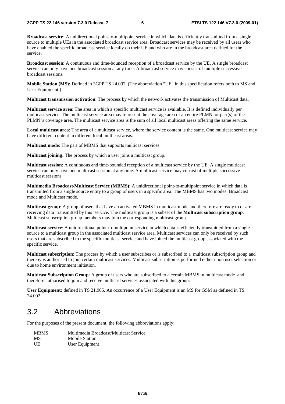**Broadcast service**: A unidirectional point-to-multipoint service in which data is efficiently transmitted from a single source to multiple UEs in the associated broadcast service area. Broadcast services may be received by all users who have enabled the specific broadcast service locally on their UE and who are in the broadcast area defined for the service.

**Broadcast session**: A continuous and time-bounded reception of a broadcast service by the UE. A single broadcast service can only have one broadcast session at any time. A broadcast service may consist of multiple successive broadcast sessions.

**Mobile Station (MS):** Defined in 3GPP TS 24.002. (The abbreviation "UE" in this specification refers both to MS and User Equipment.)

**Multicast transmission activation**: The process by which the network activates the transmission of Multicast data.

**Multicast service area**: The area in which a specific multicast service is available. It is defined individually per multicast service. The multicast service area may represent the coverage area of an entire PLMN, or part(s) of the PLMN"s coverage area. The multicast service area is the sum of all local multicast areas offering the same service.

**Local multicast area**: The area of a multicast service, where the service content is the same. One multicast service may have different content in different local multicast areas.

**Multicast mode**: The part of MBMS that supports multicast services.

**Multicast joining:** The process by which a user joins a multicast group.

**Multicast session**: A continuous and time-bounded reception of a multicast service by the UE. A single multicast service can only have one multicast session at any time. A multicast service may consist of multiple successive multicast sessions.

**Multimedia Broadcast/Multicast Service (MBMS)**: A unidirectional point-to-multipoint service in which data is transmitted from a single source entity to a group of users in a specific area. The MBMS has two modes: Broadcast mode and Multicast mode.

**Multicast group**: A group of users that have an activated MBMS in multicast mode and therefore are ready to or are receiving data transmitted by this service. The multicast group is a subset of the **Multicast subscription group**. Multicast subscription group members may join the corresponding multicast group.

**Multicast service**: A unidirectional point-to-multipoint service in which data is efficiently transmitted from a single source to a multicast group in the associated multicast service area. Multicast services can only be received by such users that are subscribed to the specific multicast service and have joined the multicast group associated with the specific service.

**Multicast subscription**: The process by which a user subscribes or is subscribed to a multicast subscription group and thereby is authorised to join certain multicast services. Multicast subscription is performed either upon user selection or due to home environment initiation.

**Multicast Subscription Group**: A group of users who are subscribed to a certain MBMS in multicast mode and therefore authorised to join and receive multicast services associated with this group.

**User Equipment:** defined in TS 21.905. An occurrence of a User Equipment is an MS for GSM as defined in TS 24.002.

#### 3.2 Abbreviations

For the purposes of the present document, the following abbreviations apply:

| <b>MBMS</b> | Multimedia Broadcast/Multicast Service |
|-------------|----------------------------------------|
| <b>MS</b>   | Mobile Station                         |
| UE          | User Equipment                         |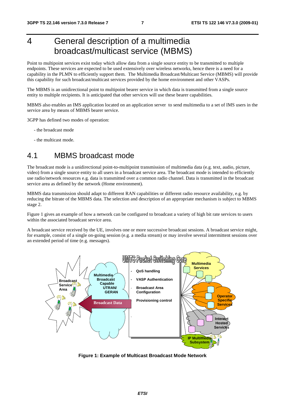## 4 General description of a multimedia broadcast/multicast service (MBMS)

Point to multipoint services exist today which allow data from a single source entity to be transmitted to multiple endpoints. These services are expected to be used extensively over wireless networks, hence there is a need for a capability in the PLMN to efficiently support them. The Multimedia Broadcast/Multicast Service (MBMS) will provide this capability for such broadcast/multicast services provided by the home environment and other VASPs.

The MBMS is an unidirectional point to multipoint bearer service in which data is transmitted from a single source entity to multiple recipients. It is anticipated that other services will use these bearer capabilities.

MBMS also enables an IMS application located on an application server to send multimedia to a set of IMS users in the service area by means of MBMS bearer service.

3GPP has defined two modes of operation:

- the broadcast mode
- the multicast mode.

#### 4.1 MBMS broadcast mode

The broadcast mode is a unidirectional point-to-multipoint transmission of multimedia data (e.g. text, audio, picture, video) from a single source entity to all users in a broadcast service area. The broadcast mode is intended to efficiently use radio/network resources e.g. data is transmitted over a common radio channel. Data is transmitted in the broadcast service area as defined by the network (Home environment).

MBMS data transmission should adapt to different RAN capabilities or different radio resource availability, e.g. by reducing the bitrate of the MBMS data. The selection and description of an appropriate mechanism is subject to MBMS stage 2.

Figure 1 gives an example of how a network can be configured to broadcast a variety of high bit rate services to users within the associated broadcast service area.

A broadcast service received by the UE, involves one or more successive broadcast sessions. A broadcast service might, for example, consist of a single on-going session (e.g. a media stream) or may involve several intermittent sessions over an extended period of time (e.g. messages).



**Figure 1: Example of Multicast Broadcast Mode Network**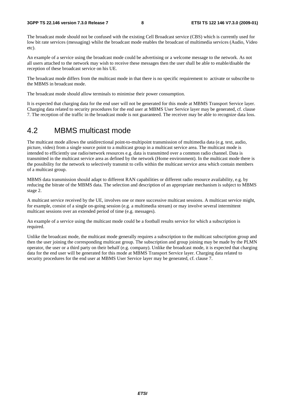The broadcast mode should not be confused with the existing Cell Broadcast service (CBS) which is currently used for low bit rate services (messaging) whilst the broadcast mode enables the broadcast of multimedia services (Audio, Video etc).

An example of a service using the broadcast mode could be advertising or a welcome message to the network. As not all users attached to the network may wish to receive these messages then the user shall be able to enable/disable the reception of these broadcast service on his UE.

The broadcast mode differs from the multicast mode in that there is no specific requirement to activate or subscribe to the MBMS in broadcast mode.

The broadcast mode should allow terminals to minimise their power consumption.

It is expected that charging data for the end user will not be generated for this mode at MBMS Transport Service layer. Charging data related to security procedures for the end user at MBMS User Service layer may be generated, cf. clause 7. The reception of the traffic in the broadcast mode is not guaranteed. The receiver may be able to recognize data loss.

#### 4.2 MBMS multicast mode

The multicast mode allows the unidirectional point-to-multipoint transmission of multimedia data (e.g. text, audio, picture, video) from a single source point to a multicast group in a multicast service area. The multicast mode is intended to efficiently use radio/network resources e.g. data is transmitted over a common radio channel. Data is transmitted in the multicast service area as defined by the network (Home environment). In the multicast mode there is the possibility for the network to selectively transmit to cells within the multicast service area which contain members of a multicast group.

MBMS data transmission should adapt to different RAN capabilities or different radio resource availability, e.g. by reducing the bitrate of the MBMS data. The selection and description of an appropriate mechanism is subject to MBMS stage 2.

A multicast service received by the UE, involves one or more successive multicast sessions. A multicast service might, for example, consist of a single on-going session (e.g. a multimedia stream) or may involve several intermittent multicast sessions over an extended period of time (e.g. messages).

An example of a service using the multicast mode could be a football results service for which a subscription is required.

Unlike the broadcast mode, the multicast mode generally requires a subscription to the multicast subscription group and then the user joining the corresponding multicast group. The subscription and group joining may be made by the PLMN operator, the user or a third party on their behalf (e.g. company). Unlike the broadcast mode, it is expected that charging data for the end user will be generated for this mode at MBMS Transport Service layer. Charging data related to security procedures for the end user at MBMS User Service layer may be generated, cf. clause 7.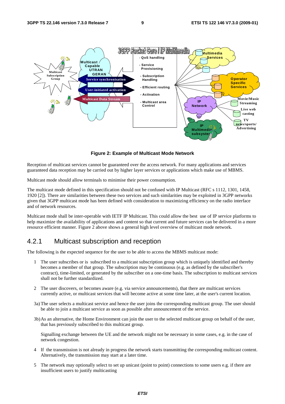

**Figure 2: Example of Multicast Mode Network** 

Reception of multicast services cannot be guaranteed over the access network. For many applications and services guaranteed data reception may be carried out by higher layer services or applications which make use of MBMS.

Multicast mode should allow terminals to minimise their power consumption.

The multicast mode defined in this specification should not be confused with IP Multicast (RFC s 1112, 1301, 1458, 1920 [2]). There are similarities between these two services and such similarities may be exploited in 3GPP networks given that 3GPP multicast mode has been defined with consideration to maximizing efficiency on the radio interface and of network resources.

Multicast mode shall be inter-operable with IETF IP Multicast. This could allow the best use of IP service platforms to help maximize the availability of applications and content so that current and future services can be delivered in a more resource efficient manner. Figure 2 above shows a general high level overview of multicast mode network.

#### 4.2.1 Multicast subscription and reception

The following is the expected sequence for the user to be able to access the MBMS multicast mode:

- 1 The user subscribes or is subscribed to a multicast subscription group which is uniquely identified and thereby becomes a member of that group. The subscription may be continuous (e.g. as defined by the subscriber's contract), time-limited, or generated by the subscriber on a one-time basis. The subscription to multicast services shall not be further standardized.
- 2 The user discovers, or becomes aware (e.g. via service announcements), that there are multicast services currently active, or multicast services that will become active at some time later, at the user's current location.
- 3a) The user selects a multicast service and hence the user joins the corresponding multicast group. The user should be able to join a multicast service as soon as possible after announcement of the service.
- 3b) As an alternative, the Home Environment can join the user to the selected multicast group on behalf of the user, that has previously subscribed to this multicast group.

 Signalling exchange between the UE and the network might not be necessary in some cases, e.g. in the case of network congestion.

- 4 If the transmission is not already in progress the network starts transmitting the corresponding multicast content. Alternatively, the transmission may start at a later time.
- 5 The network may optionally select to set up unicast (point to point) connections to some users e.g. if there are insufficient users to justify multicasting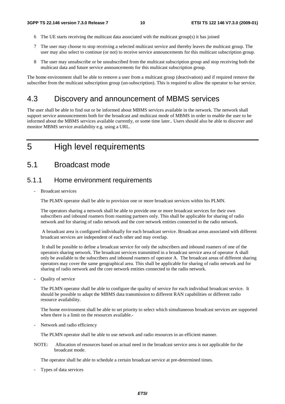- 6 The UE starts receiving the multicast data associated with the multicast group(s) it has joined
- 7 The user may choose to stop receiving a selected multicast service and thereby leaves the multicast group. The user may also select to continue (or not) to receive service announcements for this multicast subscription group.
- 8 The user may unsubscribe or be unsubscribed from the multicast subscription group and stop receiving both the multicast data and future service announcements for this multicast subscription group.

The home environment shall be able to remove a user from a multicast group (deactivation) and if required remove the subscriber from the multicast subscription group (un-subscription). This is required to allow the operator to bar service.

#### 4.3 Discovery and announcement of MBMS services

The user shall be able to find out or be informed about MBMS services available in the network. The network shall support service announcements both for the broadcast and multicast mode of MBMS in order to enable the user to be informed about the MBMS services available currently, or some time later.. Users should also be able to discover and monitor MBMS service availability e.g. using a URL.

## 5 High level requirements

#### 5.1 Broadcast mode

#### 5.1.1 Home environment requirements

- Broadcast services

The PLMN operator shall be able to provision one or more broadcast services within his PLMN.

The operators sharing a network shall be able to provide one or more broadcast services for their own subscribers and inbound roamers from roaming partners only. This shall be applicable for sharing of radio network and for sharing of radio network and the core network entities connected to the radio network.

 A broadcast area is configured individually for each broadcast service. Broadcast areas associated with different broadcast services are independent of each other and may overlap.

 It shall be possible to define a broadcast service for only the subscribers and inbound roamers of one of the operators sharing network. The broadcast services transmitted in a broadcast service area of operator A shall only be available to the subscribers and inbound roamers of operator A. The broadcast areas of different sharing operators may cover the same geographical area. This shall be applicable for sharing of radio network and for sharing of radio network and the core network entities connected to the radio network.

Quality of service

The PLMN operator shall be able to configure the quality of service for each individual broadcast service. It should be possible to adapt the MBMS data transmission to different RAN capabilities or different radio resource availability.

The home environment shall be able to set priority to select which simultaneous broadcast services are supported when there is a limit on the resources available.-

Network and radio efficiency

The PLMN operator shall be able to use network and radio resources in an efficient manner.

NOTE: Allocation of resources based on actual need in the broadcast service area is not applicable for the broadcast mode.

The operator shall be able to schedule a certain broadcast service at pre-determined times.

Types of data services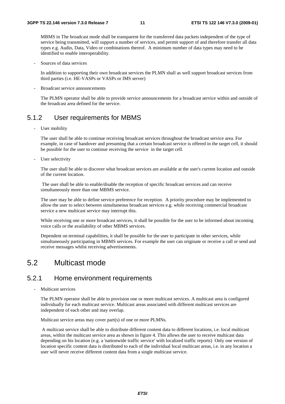MBMS in The broadcast mode shall be transparent for the transferred data packets independent of the type of service being transmitted, will support a number of services, and permit support of and therefore transfer all data types e.g. Audio, Data, Video or combinations thereof. A minimum number of data types may need to be identified to enable interoperability.

Sources of data services

In addition to supporting their own broadcast services the PLMN shall as well support broadcast services from third parties (i.e. HE-VASPs or VASPs or IMS server)

- Broadcast service announcements

The PLMN operator shall be able to provide service announcements for a broadcast service within and outside of the broadcast area defined for the service.

#### 5.1.2 User requirements for MBMS

User mobility

The user shall be able to continue receiving broadcast services throughout the broadcast service area. For example, in case of handover and presuming that a certain broadcast service is offered in the target cell, it should be possible for the user to continue receiving the service in the target cell.

User selectivity

The user shall be able to discover what broadcast services are available at the user's current location and outside of the current location.

 The user shall be able to enable/disable the reception of specific broadcast services and can receive simultaneously more than one MBMS service.

The user may be able to define service preference for reception. A priority procedure may be implemented to allow the user to select between simultaneous broadcast services e.g. while receiving commercial broadcast service a new multicast service may interrupt this.

While receiving one or more broadcast services, it shall be possible for the user to be informed about incoming voice calls or the availability of other MBMS services.

Dependent on terminal capabilities, it shall be possible for the user to participate in other services, while simultaneously participating in MBMS services. For example the user can originate or receive a call or send and receive messages whilst receiving advertisements.

#### 5.2 Multicast mode

#### 5.2.1 Home environment requirements

Multicast services

The PLMN operator shall be able to provision one or more multicast services. A multicast area is configured individually for each multicast service. Multicast areas associated with different multicast services are independent of each other and may overlap.

Multicast service areas may cover part(s) of one or more PLMNs.

 A multicast service shall be able to distribute different content data to different locations, i.e. local multicast areas, within the multicast service area as shown in figure 4. This allows the user to receive multicast data depending on his location (e.g. a 'nationwide traffic service' with localized traffic reports) Only one version of location specific content data is distributed to each of the individual local multicast areas, i.e. in any location a user will never receive different content data from a single multicast service.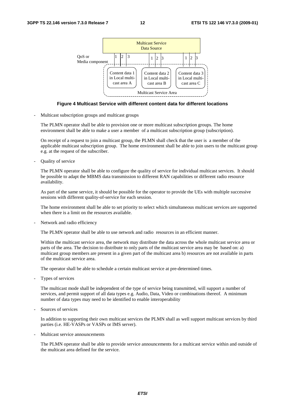

#### **Figure 4 Multicast Service with different content data for different locations**

- Multicast subscription groups and multicast groups

The PLMN operator shall be able to provision one or more multicast subscription groups. The home environment shall be able to make a user a member of a multicast subscription group (subscription).

On receipt of a request to join a multicast group, the PLMN shall check that the user is a member of the applicable multicast subscription group. The home environment shall be able to join users to the multicast group e.g. at the request of the subscriber.

Quality of service

The PLMN operator shall be able to configure the quality of service for individual multicast services. It should be possible to adapt the MBMS data transmission to different RAN capabilities or different radio resource availability.

As part of the same service, it should be possible for the operator to provide the UEs with multiple successive sessions with different quality-of-service for each session.

The home environment shall be able to set priority to select which simultaneous multicast services are supported when there is a limit on the resources available.

Network and radio efficiency

The PLMN operator shall be able to use network and radio resources in an efficient manner.

Within the multicast service area, the network may distribute the data across the whole multicast service area or parts of the area. The decision to distribute to only parts of the multicast service area may be based on: a) multicast group members are present in a given part of the multicast area b) resources are not available in parts of the multicast service area.

The operator shall be able to schedule a certain multicast service at pre-determined times.

Types of services

 The multicast mode shall be independent of the type of service being transmitted, will support a number of services, and permit support of all data types e.g. Audio, Data, Video or combinations thereof. A minimum number of data types may need to be identified to enable interoperability

- Sources of services

In addition to supporting their own multicast services the PLMN shall as well support multicast services by third parties (i.e. HE-VASPs or VASPs or IMS server).

- Multicast service announcements

The PLMN operator shall be able to provide service announcements for a multicast service within and outside of the multicast area defined for the service.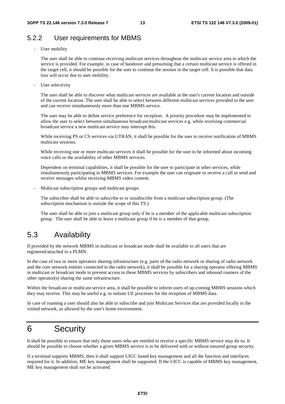#### 5.2.2 User requirements for MBMS

User mobility

The user shall be able to continue receiving multicast services throughout the multicast service area in which the service is provided. For example, in case of handover and presuming that a certain multicast service is offered in the target cell, it should be possible for the user to continue the session in the target cell. It is possible that data loss will occur due to user mobility.

User selectivity

The user shall be able to discover what multicast services are available at the user's current location and outside of the current location. The user shall be able to select between different multicast services provided to the user and can receive simultaneously more than one MBMS service.

The user may be able to define service preference for reception. A priority procedure may be implemented to allow the user to select between simultaneous broadcast/multicast services e.g. while receiving commercial broadcast service a new multicast service may interrupt this.

While receiving PS or CS services via UTRAN, it shall be possible for the user to receive notification of MBMS multicast sessions.

While receiving one or more multicast services it shall be possible for the user to be informed about incoming voice calls or the availability of other MBMS services.

Dependent on terminal capabilities, it shall be possible for the user to participate in other services, while simultaneously participating in MBMS services. For example the user can originate or receive a call or send and receive messages whilst receiving MBMS video content.

- Multicast subscription groups and multicast groups

The subscriber shall be able to subscribe to or unsubscribe from a multicast subscription group. (The subscription mechanism is outside the scope of this TS.)

The user shall be able to join a multicast group only if he is a member of the applicable multicast subscription group. The user shall be able to leave a multicast group if he is a member of that group.

#### 5.3 Availability

If provided by the network MBMS in multicast or broadcast mode shall be available to all users that are registered/attached to a PLMN.

In the case of two or more operators sharing infrastructure (e.g. parts of the radio network or sharing of radio network and the core network entities connected to the radio network), it shall be possible for a sharing operator offering MBMS in multicast or broadcast mode to prevent access to these MBMS services by subscribers and inbound roamers of the other operator(s) sharing the same infrastructure.

Within the broadcast or multicast service area, it shall be possible to inform users of up-coming MBMS sessions which they may receive. This may be useful e.g. to initiate UE processes for the reception of MBMS data.

In case of roaming a user should also be able to subscribe and join Multicast Services that are provided locally in the visited network, as allowed by the user's home environment.

## 6 Security

It shall be possible to ensure that only those users who are entitled to receive a specific MBMS service may do so. It should be possible to choose whether a given MBMS service is to be delivered with or without ensured group security.

If a terminal supports MBMS, then it shall support UICC based key management and all the function and interfaces required for it. In addition, ME key management shall be supported. If the UICC is capable of MBMS key management, ME key management shall not be activated.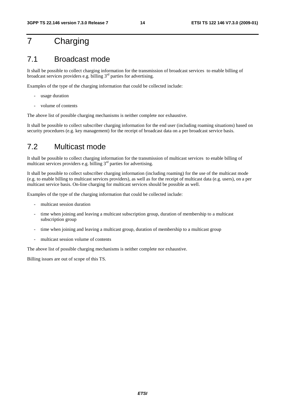## 7 Charging

#### 7.1 Broadcast mode

It shall be possible to collect charging information for the transmission of broadcast services to enable billing of broadcast services providers e.g. billing 3rd parties for advertising.

Examples of the type of the charging information that could be collected include:

- usage duration
- volume of contents

The above list of possible charging mechanisms is neither complete nor exhaustive.

It shall be possible to collect subscriber charging information for the end user (including roaming situations) based on security procedures (e.g. key management) for the receipt of broadcast data on a per broadcast service basis.

#### 7.2 Multicast mode

It shall be possible to collect charging information for the transmission of multicast services to enable billing of multicast services providers e.g. billing 3<sup>rd</sup> parties for advertising.

It shall be possible to collect subscriber charging information (including roaming) for the use of the multicast mode (e.g. to enable billing to multicast services providers), as well as for the receipt of multicast data (e.g. users), on a per multicast service basis. On-line charging for multicast services should be possible as well.

Examples of the type of the charging information that could be collected include:

- multicast session duration
- time when joining and leaving a multicast subscription group, duration of membership to a multicast subscription group
- time when joining and leaving a multicast group, duration of membership to a multicast group
- multicast session volume of contents

The above list of possible charging mechanisms is neither complete nor exhaustive.

Billing issues are out of scope of this TS.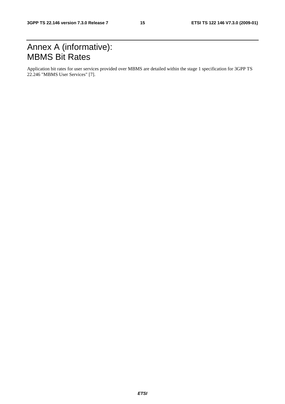## Annex A (informative): MBMS Bit Rates

Application bit rates for user services provided over MBMS are detailed within the stage 1 specification for 3GPP TS 22.246 "MBMS User Services" [7].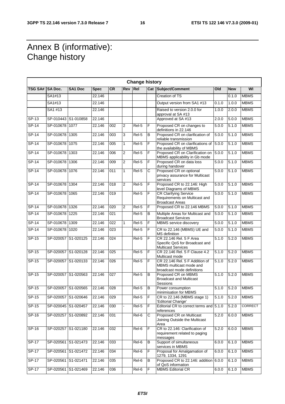## Annex B (informative): Change history

 $\mathsf{r}$ 

|                 | <b>Change history</b> |                     |             |                  |              |         |   |                                                                                         |       |            |             |
|-----------------|-----------------------|---------------------|-------------|------------------|--------------|---------|---|-----------------------------------------------------------------------------------------|-------|------------|-------------|
| TSG SA# SA Doc. |                       | SA1 Doc             | <b>Spec</b> | <b>CR</b>        | <b>Rev</b>   | Rel     |   | <b>Cat Subject/Comment</b>                                                              | Old   | <b>New</b> | WI          |
|                 | SA1#13                |                     | 22.146      |                  |              |         |   | <b>Creation of TS</b>                                                                   |       | 0.1.0      | <b>MBMS</b> |
|                 | SA1#13                |                     | 22.146      |                  |              |         |   | Output version from SA1 #13                                                             | 0.1.0 | 1.0.0      | <b>MBMS</b> |
|                 | SA1 #13               |                     | 22.146      |                  |              |         |   | Raised to version 2.0.0 for<br>approval at SA #13                                       | 1.0.0 | 2.0.0      | <b>MBMS</b> |
| $SP-13$         |                       | SP-010443 S1-010858 | 22.146      |                  |              |         |   | Approved at SA #13                                                                      | 2.0.0 | 5.0.0      | <b>MBMS</b> |
| $SP-14$         | SP-010678 1077        |                     | 22.146      | 002              | 2            | Rel-5   | F | Proposed CR on changes to<br>definitions in 22.146                                      | 5.0.0 | 5.1.0      | <b>MBMS</b> |
| $SP-14$         | SP-010678 1305        |                     | 22.146      | 003              | 3            | Rel-5   | B | Proposed CR on clarification of<br>reliable transmission                                | 5.0.0 | 5.1.0      | <b>MBMS</b> |
| $SP-14$         | SP-010678 1075        |                     | 22.146      | 005              | 1            | Rel-5   | F | Proposed CR on clarifications of<br>the availability of MBMS                            | 5.0.0 | 5.1.0      | <b>MBMS</b> |
| $S.P-14$        | SP-010678 1303        |                     | 22.146      | 006              | 2            | Rel-5   | F | Proposed CR on Clarification on<br>MBMS applicability in Gb mode                        | 5.0.0 | 5.1.0      | <b>MBMS</b> |
| SP-14           | SP-010678             | 1306                | 22.146      | 009              | 2            | Rel-5   | F | Proposed CR on data loss<br>during handover                                             | 5.0.0 | 5.1.0      | <b>MBMS</b> |
| $SP-14$         | SP-010678 1076        |                     | 22.146      | 011              | $\mathbf{1}$ | $ReI-5$ | C | Proposed CR on optional<br>privacy assurance for Multicast<br>services                  | 5.0.0 | 5.1.0      | <b>MBMS</b> |
| $SP-14$         | SP-010678 1304        |                     | 22.146      | 018              | 2            | Rel-5   | F | Proposed CR to 22.146: High<br>level Diagrams of MBMS                                   | 5.0.0 | 5.1.0      | <b>MBMS</b> |
| $SP-14$         | SP-010678 1065        |                     | 22.146      | 019              |              | Rel-5   | F | <b>CR Clarifying Service</b><br>Requirements on Multicast and<br>Broadcast Areas        | 5.0.0 | 5.1.0      | <b>MBMS</b> |
| $SP-14$         | SP-010678 1326        |                     | 22.146      | 020              | 2            | Rel-5   | F | Proposed CR to 22.146 MBMS                                                              | 5.0.0 | 5.1.0      | <b>MBMS</b> |
| SP-14           | SP-010678             | 1225                | 22.146      | 021              |              | Rel-5   | B | Multiple Areas for Multicast and<br><b>Broadcast Services</b>                           | 5.0.0 | 5.1.0      | <b>MBMS</b> |
| $SP-14$         | SP-010678 1309        |                     | 22.146      | $\overline{022}$ | 1            | $ReI-5$ | F | MBMS service discovery                                                                  | 5.0.0 | 5.1.0      | <b>MBMS</b> |
| $SP-14$         | SP-010678 1020        |                     | 22.146      | $\overline{023}$ |              | Rel-5   | F | CR to 22.146 (MBMS) UE and<br>MS definition                                             | 5.0.0 | 5.1.0      | <b>MBMS</b> |
| SP-15           |                       | SP-020057 S1-020125 | 22.146      | 024              |              | Rel-5   | F | CR 22.146 Rel. 5 F Area<br>Specific QoS for Broadcast and<br><b>Multicast Services</b>  | 5.1.0 | 5.2.0      | <b>MBMS</b> |
| $SP-15$         |                       | SP-020057 S1-020128 | 22.146      | $\overline{025}$ |              | Rel-5   | F | CR 22.146 Rel, 5 F Clause 4.2<br>Multicast mode                                         | 5.1.0 | 5.2.0      | <b>MBMS</b> |
| SP-15           |                       | SP-020057 S1-020133 | 22.146      | 026              |              | Rel-5   | F | CR 22.146 Rel. 5 F Addition of<br>MBMS multicast mode and<br>broadcast mode definitions | 5.1.0 | 5.2.0      | <b>MBMS</b> |
| $SP-15$         |                       | SP-020057 S1-020563 | 22.146      | $\overline{027}$ |              | $ReI-5$ | В | Proposed CR on MBMS<br><b>Broadcast and Multicast</b><br>Sessions                       | 5.1.0 | 5.2.0      | <b>MBMS</b> |
| SP-15           |                       | SP-020057 S1-020565 | 22.146      | 028              |              | Rel-5   | В | Power consumption<br>minimisation for MBMS                                              | 5.1.0 | 5.2.0      | <b>MBMS</b> |
| SP-15           |                       | SP-020057 S1-020646 | 22.146      | 029              |              | Rel-5   | F | CR to 22.146 (MBMS stage 1)<br>'Editorial Change'                                       | 5.1.0 | 5.2.0      | <b>MBMS</b> |
| $SP-15$         |                       | SP-020045 S1-020457 | 22.146      | 030              |              | $Rel-5$ | F | Editorial CR to correct terms and 5.1.0<br>references                                   |       | 5.2.0      | CORRECT     |
| $SP-16$         |                       | SP-020257 S1-020892 | 22.146      | 031              |              | $Rel-6$ | C | Proposed CR on Multicast<br>Joining Outside the Multicast<br>Area                       | 5.2.0 | 6.0.0      | <b>MBMS</b> |
| SP-16           |                       | SP-020257 S1-021180 | 22.146      | $\overline{032}$ |              | Rel-6   | F | CR to 22.146: Clarification of<br>requirement related to paging<br>messages             | 5.2.0 | 6.0.0      | <b>MBMS</b> |
| $SP-17$         |                       | SP-020561 S1-021473 | 22.146      | 033              |              | $Rel-6$ | B | Support of simultaneous<br>services in MBMS                                             | 6.0.0 | 6.1.0      | <b>MBMS</b> |
| $SP-17$         |                       | SP-020561 S1-021472 | 22.146      | 034              |              | Rel-6   | F | Proposal for Amalgamation of<br>1279, 1334, 1291                                        | 6.0.0 | 6.1.0      | <b>MBMS</b> |
| $SP-17$         |                       | SP-020561 S1-021471 | 22.146      | 035              |              | Rel-6   | В | Proposed CR to 22.146: addition $6.0.0$<br>of QoS information                           |       | 6.1.0      | <b>MBMS</b> |
| <b>SP-17</b>    |                       | SP-020561 S1-021469 | 22.146      | 036              |              | Rel-6   | F | <b>MBMS Editorial CR</b>                                                                | 6.0.0 | 6.1.0      | <b>MBMS</b> |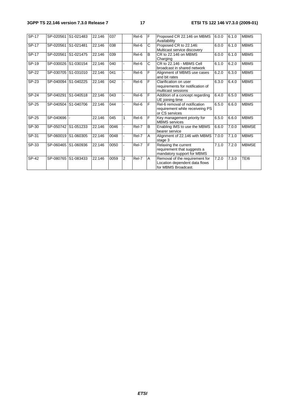| SP-17   |           | SP-020561 S1-021483 | 22.146 | 037  |   | Rel-6 | F | Proposed CR 22.146 on MBMS<br>Availability                                             | 6.0.0 | 6.1.0 | <b>MBMS</b>  |
|---------|-----------|---------------------|--------|------|---|-------|---|----------------------------------------------------------------------------------------|-------|-------|--------------|
| SP-17   |           | SP-020561 S1-021481 | 22.146 | 038  |   | Rel-6 | C | Proposed CR to 22.146:<br>Multicast service discovery                                  | 6.0.0 | 6.1.0 | <b>MBMS</b>  |
| SP-17   |           | SP-020561 S1-021475 | 22.146 | 039  |   | Rel-6 | B | CR to 22.146 on MBMS<br>Charging                                                       | 6.0.0 | 6.1.0 | <b>MBMS</b>  |
| SP-19   | SP-030026 | S1-030154           | 22.146 | 040  |   | Rel-6 | С | CR to 22.146 - MBMS Cell<br>broadcast in shared network                                | 6.1.0 | 6.2.0 | <b>MBMS</b>  |
| SP-22   |           | SP-030705 S1-031010 | 22.146 | 041  |   | Rel-6 | F | Alignment of MBMS use cases<br>and bit rates                                           | 6.2.0 | 6.3.0 | <b>MBMS</b>  |
| $SP-23$ | SP-040094 | S1-040225           | 22.146 | 042  |   | Rel-6 | F | Clarification on user<br>requirements for notification of<br>multicast sessions        | 6.3.0 | 6.4.0 | <b>MBMS</b>  |
| SP-24   |           | SP-040291 S1-040518 | 22.146 | 043  |   | Rel-6 | F | Addition of a concept regarding<br>UE joining time                                     | 6.4.0 | 6.5.0 | <b>MBMS</b>  |
| $SP-25$ |           | SP-040504 S1-040706 | 22.146 | 044  |   | Rel-6 | F | Rel-6 removal of notification<br>requirement while receiveing PS<br>or CS services     | 6.5.0 | 6.6.0 | <b>MBMS</b>  |
| SP-25   | SP-040696 |                     | 22.146 | 045  |   | Rel-6 | F | Key management priority for<br><b>MBMS</b> services                                    | 6.5.0 | 6.6.0 | <b>MBMS</b>  |
| SP-30   |           | SP-050742 S1-051233 | 22.146 | 0046 |   | Rel-7 | B | Enabling IMS to use the MBMS<br>bearer service                                         | 6.6.0 | 7.0.0 | <b>MBMSE</b> |
| $SP-31$ | SP-060019 | S1-060305           | 22.146 | 0048 |   | Rel-7 | A | Alignment of 22.146 with MBMS<br>stage 3                                               | 7.0.0 | 7.1.0 | <b>MBMS</b>  |
| SP-33   |           | SP-060465 S1-060936 | 22.146 | 0050 |   | Rel-7 | F | Relaxing the current<br>requirement that suggests a<br>mandatory support for MBMS      | 7.1.0 | 7.2.0 | <b>MBMSE</b> |
| SP-42   | SP-080765 | S1-083433           | 22.146 | 0059 | 2 | Rel-7 | A | Removal of the requirement for<br>Location dependent data flows<br>for MBMS Broadcast. | 7.2.0 | 7.3.0 | TEI6         |